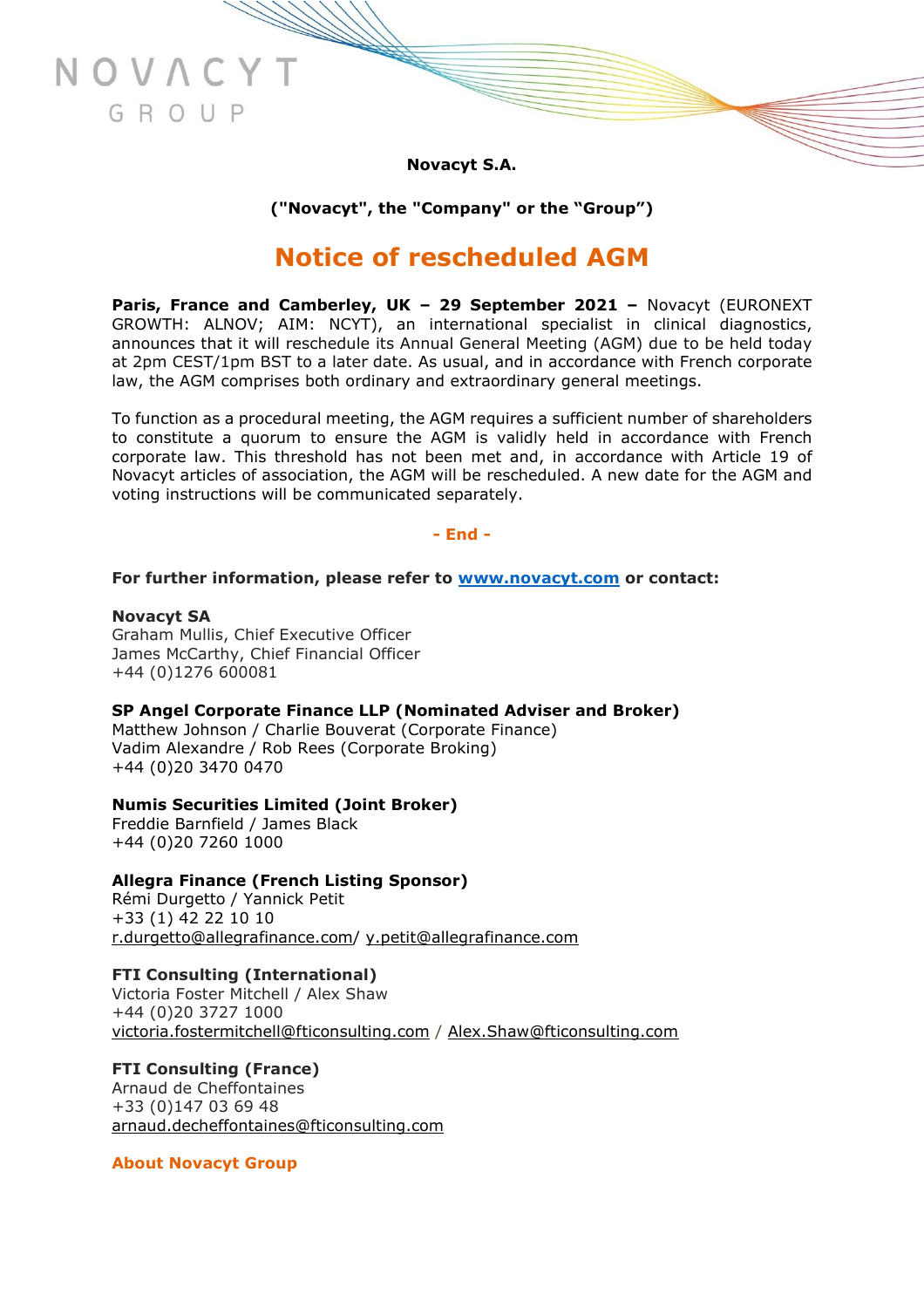**Novacyt S.A.**

**("Novacyt", the "Company" or the "Group")**

# **Notice of rescheduled AGM**

**Paris, France and Camberley, UK – 29 September 2021 –** Novacyt (EURONEXT GROWTH: ALNOV; AIM: NCYT), an international specialist in clinical diagnostics, announces that it will reschedule its Annual General Meeting (AGM) due to be held today at 2pm CEST/1pm BST to a later date. As usual, and in accordance with French corporate law, the AGM comprises both ordinary and extraordinary general meetings.

To function as a procedural meeting, the AGM requires a sufficient number of shareholders to constitute a quorum to ensure the AGM is validly held in accordance with French corporate law. This threshold has not been met and, in accordance with Article 19 of Novacyt articles of association, the AGM will be rescheduled. A new date for the AGM and voting instructions will be communicated separately.

## **- End -**

### **For further information, please refer to [www.novacyt.com](http://www.novacyt.com/) or contact:**

**Novacyt SA** Graham Mullis, Chief Executive Officer James McCarthy, Chief Financial Officer +44 (0)1276 600081

NOVAC

GROUP

**SP Angel Corporate Finance LLP (Nominated Adviser and Broker)** Matthew Johnson / Charlie Bouverat (Corporate Finance)

Vadim Alexandre / Rob Rees (Corporate Broking) +44 (0)20 3470 0470

## **Numis Securities Limited (Joint Broker)**

Freddie Barnfield / James Black +44 (0)20 7260 1000

## **Allegra Finance (French Listing Sponsor)**

Rémi Durgetto / Yannick Petit +33 (1) 42 22 10 10 [r.durgetto@allegrafinance.com/](mailto:r.durgetto@allegrafinance.com) [y.petit@allegrafinance.com](mailto:y.petit@allegrafinance.com)

## **FTI Consulting (International)**

Victoria Foster Mitchell / Alex Shaw +44 (0)20 3727 1000 [victoria.fostermitchell@fticonsulting.com](mailto:victoria.fostermitchell@fticonsulting.com) / [Alex.Shaw@fticonsulting.com](mailto:Alex.Shaw@fticonsulting.com)

## **FTI Consulting (France)**

Arnaud de Cheffontaines +33 (0)147 03 69 48 [arnaud.decheffontaines@fticonsulting.com](mailto:arnaud.decheffontaines@fticonsulting.com)

**About Novacyt Group**